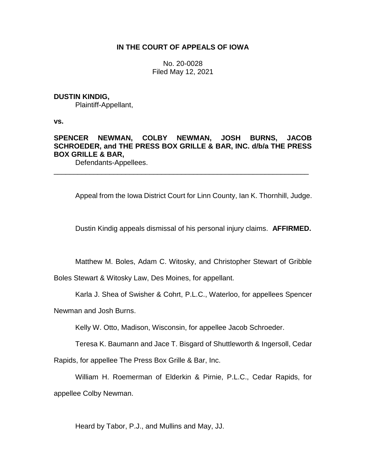## **IN THE COURT OF APPEALS OF IOWA**

No. 20-0028 Filed May 12, 2021

### **DUSTIN KINDIG,**

Plaintiff-Appellant,

**vs.**

# **SPENCER NEWMAN, COLBY NEWMAN, JOSH BURNS, JACOB SCHROEDER, and THE PRESS BOX GRILLE & BAR, INC. d/b/a THE PRESS BOX GRILLE & BAR,**

\_\_\_\_\_\_\_\_\_\_\_\_\_\_\_\_\_\_\_\_\_\_\_\_\_\_\_\_\_\_\_\_\_\_\_\_\_\_\_\_\_\_\_\_\_\_\_\_\_\_\_\_\_\_\_\_\_\_\_\_\_\_\_\_

Defendants-Appellees.

Appeal from the Iowa District Court for Linn County, Ian K. Thornhill, Judge.

Dustin Kindig appeals dismissal of his personal injury claims. **AFFIRMED.**

Matthew M. Boles, Adam C. Witosky, and Christopher Stewart of Gribble

Boles Stewart & Witosky Law, Des Moines, for appellant.

Karla J. Shea of Swisher & Cohrt, P.L.C., Waterloo, for appellees Spencer

Newman and Josh Burns.

Kelly W. Otto, Madison, Wisconsin, for appellee Jacob Schroeder.

Teresa K. Baumann and Jace T. Bisgard of Shuttleworth & Ingersoll, Cedar

Rapids, for appellee The Press Box Grille & Bar, Inc.

William H. Roemerman of Elderkin & Pirnie, P.L.C., Cedar Rapids, for appellee Colby Newman.

Heard by Tabor, P.J., and Mullins and May, JJ.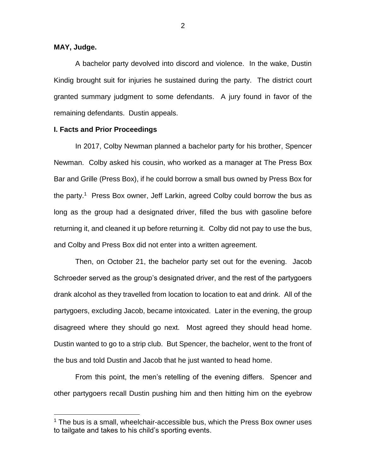### **MAY, Judge.**

 $\overline{a}$ 

A bachelor party devolved into discord and violence. In the wake, Dustin Kindig brought suit for injuries he sustained during the party. The district court granted summary judgment to some defendants. A jury found in favor of the remaining defendants. Dustin appeals.

#### **I. Facts and Prior Proceedings**

In 2017, Colby Newman planned a bachelor party for his brother, Spencer Newman. Colby asked his cousin, who worked as a manager at The Press Box Bar and Grille (Press Box), if he could borrow a small bus owned by Press Box for the party.<sup>1</sup> Press Box owner, Jeff Larkin, agreed Colby could borrow the bus as long as the group had a designated driver, filled the bus with gasoline before returning it, and cleaned it up before returning it. Colby did not pay to use the bus, and Colby and Press Box did not enter into a written agreement.

Then, on October 21, the bachelor party set out for the evening. Jacob Schroeder served as the group's designated driver, and the rest of the partygoers drank alcohol as they travelled from location to location to eat and drink. All of the partygoers, excluding Jacob, became intoxicated. Later in the evening, the group disagreed where they should go next. Most agreed they should head home. Dustin wanted to go to a strip club. But Spencer, the bachelor, went to the front of the bus and told Dustin and Jacob that he just wanted to head home.

From this point, the men's retelling of the evening differs. Spencer and other partygoers recall Dustin pushing him and then hitting him on the eyebrow

 $1$  The bus is a small, wheelchair-accessible bus, which the Press Box owner uses to tailgate and takes to his child's sporting events.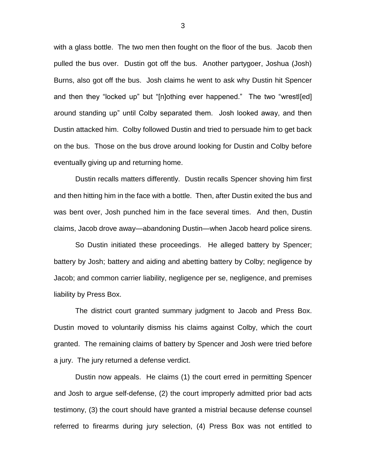with a glass bottle. The two men then fought on the floor of the bus. Jacob then pulled the bus over. Dustin got off the bus. Another partygoer, Joshua (Josh) Burns, also got off the bus. Josh claims he went to ask why Dustin hit Spencer and then they "locked up" but "[n]othing ever happened." The two "wrestl[ed] around standing up" until Colby separated them. Josh looked away, and then Dustin attacked him. Colby followed Dustin and tried to persuade him to get back on the bus. Those on the bus drove around looking for Dustin and Colby before eventually giving up and returning home.

Dustin recalls matters differently. Dustin recalls Spencer shoving him first and then hitting him in the face with a bottle. Then, after Dustin exited the bus and was bent over, Josh punched him in the face several times. And then, Dustin claims, Jacob drove away—abandoning Dustin—when Jacob heard police sirens.

So Dustin initiated these proceedings. He alleged battery by Spencer; battery by Josh; battery and aiding and abetting battery by Colby; negligence by Jacob; and common carrier liability, negligence per se, negligence, and premises liability by Press Box.

The district court granted summary judgment to Jacob and Press Box. Dustin moved to voluntarily dismiss his claims against Colby, which the court granted. The remaining claims of battery by Spencer and Josh were tried before a jury. The jury returned a defense verdict.

Dustin now appeals. He claims (1) the court erred in permitting Spencer and Josh to argue self-defense, (2) the court improperly admitted prior bad acts testimony, (3) the court should have granted a mistrial because defense counsel referred to firearms during jury selection, (4) Press Box was not entitled to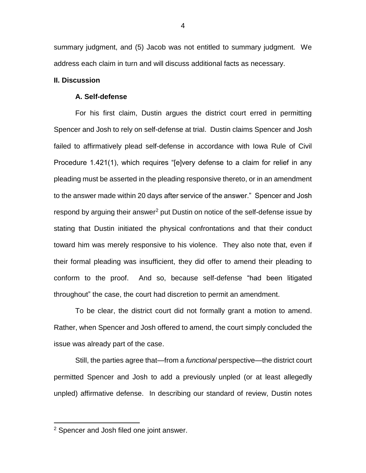summary judgment, and (5) Jacob was not entitled to summary judgment. We address each claim in turn and will discuss additional facts as necessary.

#### **II. Discussion**

#### **A. Self-defense**

For his first claim, Dustin argues the district court erred in permitting Spencer and Josh to rely on self-defense at trial. Dustin claims Spencer and Josh failed to affirmatively plead self-defense in accordance with Iowa Rule of Civil Procedure 1.421(1), which requires "[e]very defense to a claim for relief in any pleading must be asserted in the pleading responsive thereto, or in an amendment to the answer made within 20 days after service of the answer." Spencer and Josh respond by arguing their answer<sup>2</sup> put Dustin on notice of the self-defense issue by stating that Dustin initiated the physical confrontations and that their conduct toward him was merely responsive to his violence. They also note that, even if their formal pleading was insufficient, they did offer to amend their pleading to conform to the proof. And so, because self-defense "had been litigated throughout" the case, the court had discretion to permit an amendment.

To be clear, the district court did not formally grant a motion to amend. Rather, when Spencer and Josh offered to amend, the court simply concluded the issue was already part of the case.

Still, the parties agree that—from a *functional* perspective—the district court permitted Spencer and Josh to add a previously unpled (or at least allegedly unpled) affirmative defense. In describing our standard of review, Dustin notes

 $\overline{a}$ 

<sup>&</sup>lt;sup>2</sup> Spencer and Josh filed one joint answer.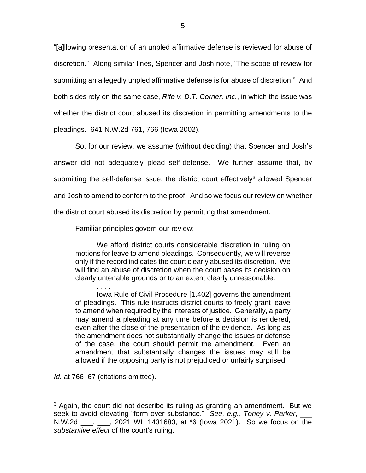"[a]llowing presentation of an unpled affirmative defense is reviewed for abuse of discretion." Along similar lines, Spencer and Josh note, "The scope of review for submitting an allegedly unpled affirmative defense is for abuse of discretion." And both sides rely on the same case, *Rife v. D.T. Corner, Inc.*, in which the issue was whether the district court abused its discretion in permitting amendments to the pleadings. 641 N.W.2d 761, 766 (Iowa 2002).

So, for our review, we assume (without deciding) that Spencer and Josh's answer did not adequately plead self-defense. We further assume that, by submitting the self-defense issue, the district court effectively<sup>3</sup> allowed Spencer and Josh to amend to conform to the proof. And so we focus our review on whether the district court abused its discretion by permitting that amendment.

Familiar principles govern our review:

We afford district courts considerable discretion in ruling on motions for leave to amend pleadings. Consequently, we will reverse only if the record indicates the court clearly abused its discretion. We will find an abuse of discretion when the court bases its decision on clearly untenable grounds or to an extent clearly unreasonable.

. . . . Iowa Rule of Civil Procedure [1.402] governs the amendment of pleadings. This rule instructs district courts to freely grant leave to amend when required by the interests of justice. Generally, a party may amend a pleading at any time before a decision is rendered, even after the close of the presentation of the evidence. As long as the amendment does not substantially change the issues or defense of the case, the court should permit the amendment. Even an amendment that substantially changes the issues may still be allowed if the opposing party is not prejudiced or unfairly surprised.

*Id.* at 766–67 (citations omitted).

 $\overline{a}$ 

<sup>&</sup>lt;sup>3</sup> Again, the court did not describe its ruling as granting an amendment. But we seek to avoid elevating "form over substance." *See, e.g.*, *Toney v. Parker*, \_\_\_ N.W.2d \_\_\_, \_\_\_, 2021 WL 1431683, at \*6 (Iowa 2021). So we focus on the *substantive effect* of the court's ruling.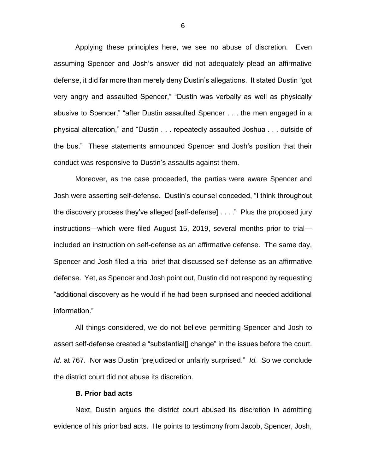Applying these principles here, we see no abuse of discretion. Even assuming Spencer and Josh's answer did not adequately plead an affirmative defense, it did far more than merely deny Dustin's allegations. It stated Dustin "got very angry and assaulted Spencer," "Dustin was verbally as well as physically abusive to Spencer," "after Dustin assaulted Spencer . . . the men engaged in a physical altercation," and "Dustin . . . repeatedly assaulted Joshua . . . outside of the bus." These statements announced Spencer and Josh's position that their conduct was responsive to Dustin's assaults against them.

Moreover, as the case proceeded, the parties were aware Spencer and Josh were asserting self-defense. Dustin's counsel conceded, "I think throughout the discovery process they've alleged [self-defense] . . . ." Plus the proposed jury instructions—which were filed August 15, 2019, several months prior to trial included an instruction on self-defense as an affirmative defense. The same day, Spencer and Josh filed a trial brief that discussed self-defense as an affirmative defense. Yet, as Spencer and Josh point out, Dustin did not respond by requesting "additional discovery as he would if he had been surprised and needed additional information."

All things considered, we do not believe permitting Spencer and Josh to assert self-defense created a "substantial[] change" in the issues before the court. *Id.* at 767. Nor was Dustin "prejudiced or unfairly surprised." *Id.* So we conclude the district court did not abuse its discretion.

#### **B. Prior bad acts**

Next, Dustin argues the district court abused its discretion in admitting evidence of his prior bad acts. He points to testimony from Jacob, Spencer, Josh,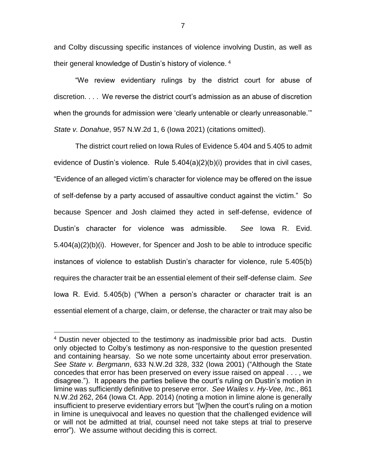and Colby discussing specific instances of violence involving Dustin, as well as their general knowledge of Dustin's history of violence. <sup>4</sup>

"We review evidentiary rulings by the district court for abuse of discretion. . . . We reverse the district court's admission as an abuse of discretion when the grounds for admission were 'clearly untenable or clearly unreasonable.'" *State v. Donahue*, 957 N.W.2d 1, 6 (Iowa 2021) (citations omitted).

The district court relied on Iowa Rules of Evidence 5.404 and 5.405 to admit evidence of Dustin's violence. Rule 5.404(a)(2)(b)(i) provides that in civil cases, "Evidence of an alleged victim's character for violence may be offered on the issue of self-defense by a party accused of assaultive conduct against the victim." So because Spencer and Josh claimed they acted in self-defense, evidence of Dustin's character for violence was admissible. *See* Iowa R. Evid. 5.404(a)(2)(b)(i). However, for Spencer and Josh to be able to introduce specific instances of violence to establish Dustin's character for violence, rule 5.405(b) requires the character trait be an essential element of their self-defense claim. *See* Iowa R. Evid. 5.405(b) ("When a person's character or character trait is an essential element of a charge, claim, or defense, the character or trait may also be

 $\overline{a}$ 

<sup>&</sup>lt;sup>4</sup> Dustin never objected to the testimony as inadmissible prior bad acts. Dustin only objected to Colby's testimony as non-responsive to the question presented and containing hearsay. So we note some uncertainty about error preservation. *See State v. Bergmann*, 633 N.W.2d 328, 332 (Iowa 2001) ("Although the State concedes that error has been preserved on every issue raised on appeal . . . , we disagree."). It appears the parties believe the court's ruling on Dustin's motion in limine was sufficiently definitive to preserve error. *See Wailes v. Hy-Vee, Inc.*, 861 N.W.2d 262, 264 (Iowa Ct. App. 2014) (noting a motion in limine alone is generally insufficient to preserve evidentiary errors but "[w]hen the court's ruling on a motion in limine is unequivocal and leaves no question that the challenged evidence will or will not be admitted at trial, counsel need not take steps at trial to preserve error"). We assume without deciding this is correct.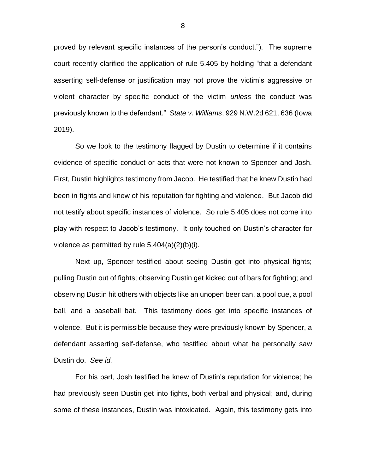proved by relevant specific instances of the person's conduct."). The supreme court recently clarified the application of rule 5.405 by holding "that a defendant asserting self-defense or justification may not prove the victim's aggressive or violent character by specific conduct of the victim *unless* the conduct was previously known to the defendant." *State v. Williams*, 929 N.W.2d 621, 636 (Iowa 2019).

So we look to the testimony flagged by Dustin to determine if it contains evidence of specific conduct or acts that were not known to Spencer and Josh. First, Dustin highlights testimony from Jacob. He testified that he knew Dustin had been in fights and knew of his reputation for fighting and violence. But Jacob did not testify about specific instances of violence. So rule 5.405 does not come into play with respect to Jacob's testimony. It only touched on Dustin's character for violence as permitted by rule 5.404(a)(2)(b)(i).

Next up, Spencer testified about seeing Dustin get into physical fights; pulling Dustin out of fights; observing Dustin get kicked out of bars for fighting; and observing Dustin hit others with objects like an unopen beer can, a pool cue, a pool ball, and a baseball bat. This testimony does get into specific instances of violence. But it is permissible because they were previously known by Spencer, a defendant asserting self-defense, who testified about what he personally saw Dustin do. *See id.*

For his part, Josh testified he knew of Dustin's reputation for violence; he had previously seen Dustin get into fights, both verbal and physical; and, during some of these instances, Dustin was intoxicated. Again, this testimony gets into

8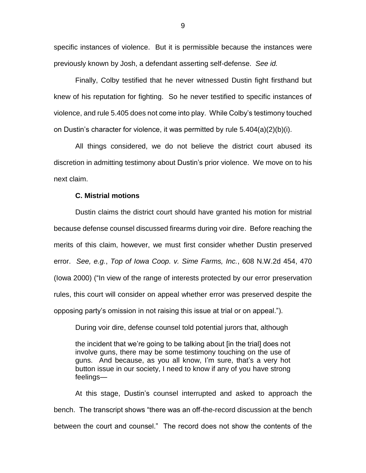specific instances of violence. But it is permissible because the instances were previously known by Josh, a defendant asserting self-defense. *See id.*

Finally, Colby testified that he never witnessed Dustin fight firsthand but knew of his reputation for fighting. So he never testified to specific instances of violence, and rule 5.405 does not come into play. While Colby's testimony touched on Dustin's character for violence, it was permitted by rule 5.404(a)(2)(b)(i).

All things considered, we do not believe the district court abused its discretion in admitting testimony about Dustin's prior violence. We move on to his next claim.

### **C. Mistrial motions**

Dustin claims the district court should have granted his motion for mistrial because defense counsel discussed firearms during voir dire. Before reaching the merits of this claim, however, we must first consider whether Dustin preserved error. *See, e.g.*, *Top of Iowa Coop. v. Sime Farms, Inc.*, 608 N.W.2d 454, 470 (Iowa 2000) ("In view of the range of interests protected by our error preservation rules, this court will consider on appeal whether error was preserved despite the opposing party's omission in not raising this issue at trial or on appeal.").

During voir dire, defense counsel told potential jurors that, although

the incident that we're going to be talking about [in the trial] does not involve guns, there may be some testimony touching on the use of guns. And because, as you all know, I'm sure, that's a very hot button issue in our society, I need to know if any of you have strong feelings—

At this stage, Dustin's counsel interrupted and asked to approach the bench. The transcript shows "there was an off-the-record discussion at the bench between the court and counsel." The record does not show the contents of the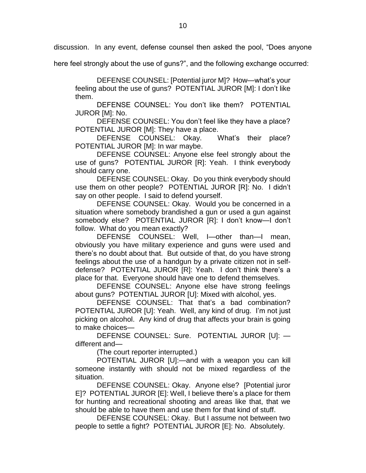discussion. In any event, defense counsel then asked the pool, "Does anyone

here feel strongly about the use of guns?", and the following exchange occurred:

DEFENSE COUNSEL: [Potential juror M]? How—what's your feeling about the use of guns? POTENTIAL JUROR [M]: I don't like them.

DEFENSE COUNSEL: You don't like them? POTENTIAL JUROR [M]: No.

DEFENSE COUNSEL: You don't feel like they have a place? POTENTIAL JUROR [M]: They have a place.

DEFENSE COUNSEL: Okay. What's their place? POTENTIAL JUROR [M]: In war maybe.

DEFENSE COUNSEL: Anyone else feel strongly about the use of guns? POTENTIAL JUROR [R]: Yeah. I think everybody should carry one.

DEFENSE COUNSEL: Okay. Do you think everybody should use them on other people? POTENTIAL JUROR [R]: No. I didn't say on other people. I said to defend yourself.

DEFENSE COUNSEL: Okay. Would you be concerned in a situation where somebody brandished a gun or used a gun against somebody else? POTENTIAL JUROR [R]: I don't know—I don't follow. What do you mean exactly?

DEFENSE COUNSEL: Well, I—other than—I mean, obviously you have military experience and guns were used and there's no doubt about that. But outside of that, do you have strong feelings about the use of a handgun by a private citizen not in selfdefense? POTENTIAL JUROR [R]: Yeah. I don't think there's a place for that. Everyone should have one to defend themselves.

DEFENSE COUNSEL: Anyone else have strong feelings about guns? POTENTIAL JUROR [U]: Mixed with alcohol, yes.

DEFENSE COUNSEL: That that's a bad combination? POTENTIAL JUROR [U]: Yeah. Well, any kind of drug. I'm not just picking on alcohol. Any kind of drug that affects your brain is going to make choices—

DEFENSE COUNSEL: Sure. POTENTIAL JUROR [U]: different and—

(The court reporter interrupted.)

POTENTIAL JUROR [U]:—and with a weapon you can kill someone instantly with should not be mixed regardless of the situation.

DEFENSE COUNSEL: Okay. Anyone else? [Potential juror E]? POTENTIAL JUROR [E]: Well, I believe there's a place for them for hunting and recreational shooting and areas like that, that we should be able to have them and use them for that kind of stuff.

DEFENSE COUNSEL: Okay. But I assume not between two people to settle a fight? POTENTIAL JUROR [E]: No. Absolutely.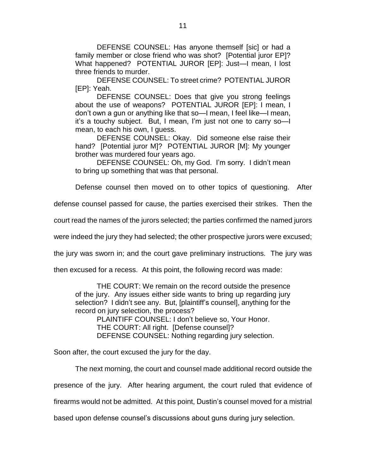DEFENSE COUNSEL: Has anyone themself [sic] or had a family member or close friend who was shot? [Potential juror EP]? What happened? POTENTIAL JUROR [EP]: Just—I mean, I lost three friends to murder.

DEFENSE COUNSEL: To street crime? POTENTIAL JUROR [EP]: Yeah.

DEFENSE COUNSEL: Does that give you strong feelings about the use of weapons? POTENTIAL JUROR [EP]: I mean, I don't own a gun or anything like that so—I mean, I feel like—I mean, it's a touchy subject. But, I mean, I'm just not one to carry so—I mean, to each his own, I guess.

DEFENSE COUNSEL: Okay. Did someone else raise their hand? [Potential juror M]? POTENTIAL JUROR [M]: My younger brother was murdered four years ago.

DEFENSE COUNSEL: Oh, my God. I'm sorry. I didn't mean to bring up something that was that personal.

Defense counsel then moved on to other topics of questioning. After

defense counsel passed for cause, the parties exercised their strikes. Then the

court read the names of the jurors selected; the parties confirmed the named jurors

were indeed the jury they had selected; the other prospective jurors were excused;

the jury was sworn in; and the court gave preliminary instructions. The jury was

then excused for a recess. At this point, the following record was made:

THE COURT: We remain on the record outside the presence of the jury. Any issues either side wants to bring up regarding jury selection? I didn't see any. But, [plaintiff's counsel], anything for the record on jury selection, the process?

PLAINTIFF COUNSEL: I don't believe so, Your Honor. THE COURT: All right. [Defense counsel]? DEFENSE COUNSEL: Nothing regarding jury selection.

Soon after, the court excused the jury for the day.

The next morning, the court and counsel made additional record outside the presence of the jury. After hearing argument, the court ruled that evidence of firearms would not be admitted. At this point, Dustin's counsel moved for a mistrial

based upon defense counsel's discussions about guns during jury selection.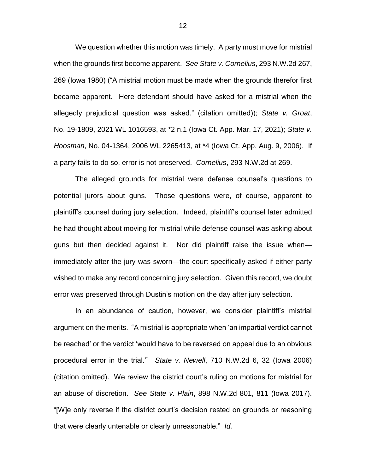We question whether this motion was timely. A party must move for mistrial when the grounds first become apparent. *See State v. Cornelius*, 293 N.W.2d 267, 269 (Iowa 1980) ("A mistrial motion must be made when the grounds therefor first became apparent. Here defendant should have asked for a mistrial when the allegedly prejudicial question was asked." (citation omitted)); *State v. Groat*, No. 19-1809, 2021 WL 1016593, at \*2 n.1 (Iowa Ct. App. Mar. 17, 2021); *State v. Hoosman*, No. 04-1364, 2006 WL 2265413, at \*4 (Iowa Ct. App. Aug. 9, 2006). If a party fails to do so, error is not preserved. *Cornelius*, 293 N.W.2d at 269.

The alleged grounds for mistrial were defense counsel's questions to potential jurors about guns. Those questions were, of course, apparent to plaintiff's counsel during jury selection. Indeed, plaintiff's counsel later admitted he had thought about moving for mistrial while defense counsel was asking about guns but then decided against it. Nor did plaintiff raise the issue when immediately after the jury was sworn—the court specifically asked if either party wished to make any record concerning jury selection. Given this record, we doubt error was preserved through Dustin's motion on the day after jury selection.

In an abundance of caution, however, we consider plaintiff's mistrial argument on the merits. "A mistrial is appropriate when 'an impartial verdict cannot be reached' or the verdict 'would have to be reversed on appeal due to an obvious procedural error in the trial.'" *State v. Newell*, 710 N.W.2d 6, 32 (Iowa 2006) (citation omitted). We review the district court's ruling on motions for mistrial for an abuse of discretion. *See State v. Plain*, 898 N.W.2d 801, 811 (Iowa 2017). "[W]e only reverse if the district court's decision rested on grounds or reasoning that were clearly untenable or clearly unreasonable." *Id.*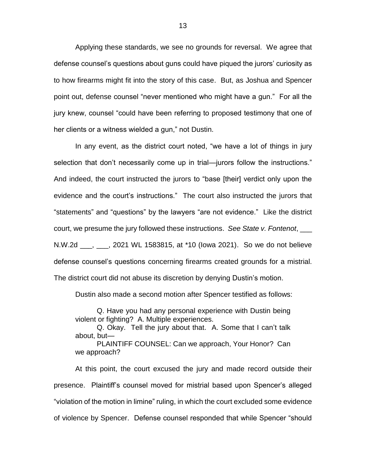Applying these standards, we see no grounds for reversal. We agree that defense counsel's questions about guns could have piqued the jurors' curiosity as to how firearms might fit into the story of this case. But, as Joshua and Spencer point out, defense counsel "never mentioned who might have a gun." For all the jury knew, counsel "could have been referring to proposed testimony that one of her clients or a witness wielded a gun," not Dustin.

In any event, as the district court noted, "we have a lot of things in jury selection that don't necessarily come up in trial—jurors follow the instructions." And indeed, the court instructed the jurors to "base [their] verdict only upon the evidence and the court's instructions." The court also instructed the jurors that "statements" and "questions" by the lawyers "are not evidence." Like the district court, we presume the jury followed these instructions. *See State v. Fontenot*, \_\_\_ N.W.2d \_\_\_, \_\_\_, 2021 WL 1583815, at \*10 (Iowa 2021). So we do not believe defense counsel's questions concerning firearms created grounds for a mistrial. The district court did not abuse its discretion by denying Dustin's motion.

Dustin also made a second motion after Spencer testified as follows:

Q. Have you had any personal experience with Dustin being violent or fighting? A. Multiple experiences.

Q. Okay. Tell the jury about that. A. Some that I can't talk about, but—

PLAINTIFF COUNSEL: Can we approach, Your Honor? Can we approach?

At this point, the court excused the jury and made record outside their presence. Plaintiff's counsel moved for mistrial based upon Spencer's alleged "violation of the motion in limine" ruling, in which the court excluded some evidence of violence by Spencer. Defense counsel responded that while Spencer "should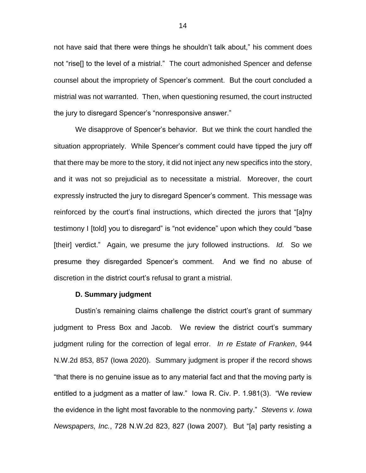not have said that there were things he shouldn't talk about," his comment does not "rise[] to the level of a mistrial." The court admonished Spencer and defense counsel about the impropriety of Spencer's comment. But the court concluded a mistrial was not warranted. Then, when questioning resumed, the court instructed the jury to disregard Spencer's "nonresponsive answer."

We disapprove of Spencer's behavior. But we think the court handled the situation appropriately. While Spencer's comment could have tipped the jury off that there may be more to the story, it did not inject any new specifics into the story, and it was not so prejudicial as to necessitate a mistrial. Moreover, the court expressly instructed the jury to disregard Spencer's comment. This message was reinforced by the court's final instructions, which directed the jurors that "[a]ny testimony I [told] you to disregard" is "not evidence" upon which they could "base [their] verdict." Again, we presume the jury followed instructions. *Id.* So we presume they disregarded Spencer's comment. And we find no abuse of discretion in the district court's refusal to grant a mistrial.

#### **D. Summary judgment**

Dustin's remaining claims challenge the district court's grant of summary judgment to Press Box and Jacob. We review the district court's summary judgment ruling for the correction of legal error. *In re Estate of Franken*, 944 N.W.2d 853, 857 (Iowa 2020). Summary judgment is proper if the record shows "that there is no genuine issue as to any material fact and that the moving party is entitled to a judgment as a matter of law." Iowa R. Civ. P. 1.981(3). "We review the evidence in the light most favorable to the nonmoving party." *Stevens v. Iowa Newspapers, Inc.*, 728 N.W.2d 823, 827 (Iowa 2007). But "[a] party resisting a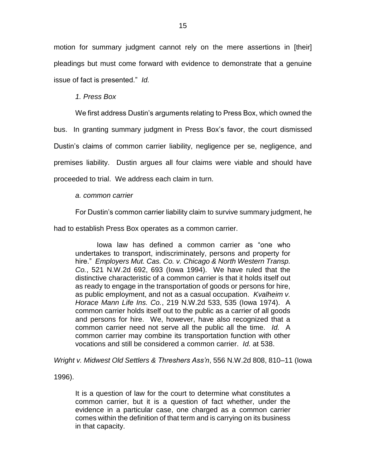motion for summary judgment cannot rely on the mere assertions in [their] pleadings but must come forward with evidence to demonstrate that a genuine issue of fact is presented." *Id.*

*1. Press Box*

We first address Dustin's arguments relating to Press Box, which owned the

bus. In granting summary judgment in Press Box's favor, the court dismissed Dustin's claims of common carrier liability, negligence per se, negligence, and premises liability. Dustin argues all four claims were viable and should have proceeded to trial. We address each claim in turn.

## *a. common carrier*

For Dustin's common carrier liability claim to survive summary judgment, he

had to establish Press Box operates as a common carrier.

Iowa law has defined a common carrier as "one who undertakes to transport, indiscriminately, persons and property for hire." *Employers Mut. Cas. Co. v. Chicago & North Western Transp. Co.*, 521 N.W.2d 692, 693 (Iowa 1994). We have ruled that the distinctive characteristic of a common carrier is that it holds itself out as ready to engage in the transportation of goods or persons for hire, as public employment, and not as a casual occupation. *Kvalheim v. Horace Mann Life Ins. Co.*, 219 N.W.2d 533, 535 (Iowa 1974). A common carrier holds itself out to the public as a carrier of all goods and persons for hire. We, however, have also recognized that a common carrier need not serve all the public all the time. *Id.* A common carrier may combine its transportation function with other vocations and still be considered a common carrier. *Id.* at 538.

*Wright v. Midwest Old Settlers & Threshers Ass'n*, 556 N.W.2d 808, 810–11 (Iowa

1996).

It is a question of law for the court to determine what constitutes a common carrier, but it is a question of fact whether, under the evidence in a particular case, one charged as a common carrier comes within the definition of that term and is carrying on its business in that capacity.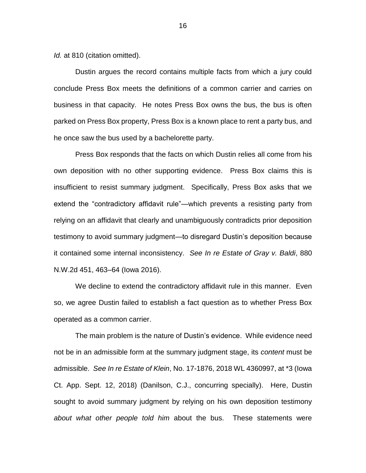*Id.* at 810 (citation omitted).

Dustin argues the record contains multiple facts from which a jury could conclude Press Box meets the definitions of a common carrier and carries on business in that capacity. He notes Press Box owns the bus, the bus is often parked on Press Box property, Press Box is a known place to rent a party bus, and he once saw the bus used by a bachelorette party.

Press Box responds that the facts on which Dustin relies all come from his own deposition with no other supporting evidence. Press Box claims this is insufficient to resist summary judgment. Specifically, Press Box asks that we extend the "contradictory affidavit rule"—which prevents a resisting party from relying on an affidavit that clearly and unambiguously contradicts prior deposition testimony to avoid summary judgment—to disregard Dustin's deposition because it contained some internal inconsistency. *See In re Estate of Gray v. Baldi*, 880 N.W.2d 451, 463–64 (Iowa 2016).

We decline to extend the contradictory affidavit rule in this manner. Even so, we agree Dustin failed to establish a fact question as to whether Press Box operated as a common carrier.

The main problem is the nature of Dustin's evidence. While evidence need not be in an admissible form at the summary judgment stage, its *content* must be admissible. *See In re Estate of Klein*, No. 17-1876, 2018 WL 4360997, at \*3 (Iowa Ct. App. Sept. 12, 2018) (Danilson, C.J., concurring specially). Here, Dustin sought to avoid summary judgment by relying on his own deposition testimony *about what other people told him* about the bus. These statements were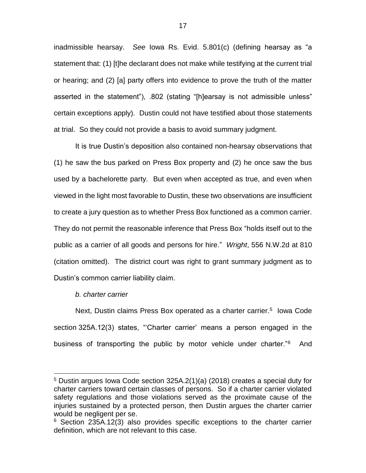inadmissible hearsay. *See* Iowa Rs. Evid. 5.801(c) (defining hearsay as "a statement that: (1) [t]he declarant does not make while testifying at the current trial or hearing; and (2) [a] party offers into evidence to prove the truth of the matter asserted in the statement"), .802 (stating "[h]earsay is not admissible unless" certain exceptions apply). Dustin could not have testified about those statements at trial. So they could not provide a basis to avoid summary judgment.

It is true Dustin's deposition also contained non-hearsay observations that (1) he saw the bus parked on Press Box property and (2) he once saw the bus used by a bachelorette party. But even when accepted as true, and even when viewed in the light most favorable to Dustin, these two observations are insufficient to create a jury question as to whether Press Box functioned as a common carrier. They do not permit the reasonable inference that Press Box "holds itself out to the public as a carrier of all goods and persons for hire." *Wright*, 556 N.W.2d at 810 (citation omitted). The district court was right to grant summary judgment as to Dustin's common carrier liability claim.

### *b. charter carrier*

 $\overline{a}$ 

Next, Dustin claims Press Box operated as a charter carrier.<sup>5</sup> Iowa Code section 325A.12(3) states, "'Charter carrier' means a person engaged in the business of transporting the public by motor vehicle under charter."<sup>6</sup> And

<sup>5</sup> Dustin argues Iowa Code section 325A.2(1)(a) (2018) creates a special duty for charter carriers toward certain classes of persons. So if a charter carrier violated safety regulations and those violations served as the proximate cause of the injuries sustained by a protected person, then Dustin argues the charter carrier would be negligent per se.

 $6$  Section 235A.12(3) also provides specific exceptions to the charter carrier definition, which are not relevant to this case.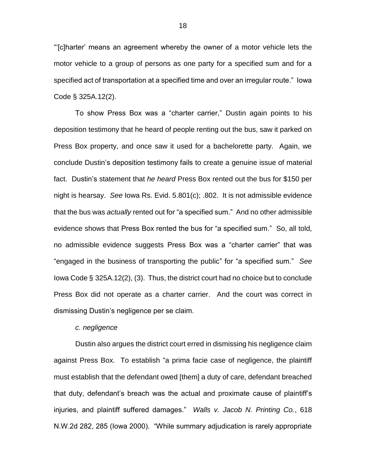"'[c]harter' means an agreement whereby the owner of a motor vehicle lets the motor vehicle to a group of persons as one party for a specified sum and for a specified act of transportation at a specified time and over an irregular route." Iowa Code § 325A.12(2).

To show Press Box was a "charter carrier," Dustin again points to his deposition testimony that he heard of people renting out the bus, saw it parked on Press Box property, and once saw it used for a bachelorette party. Again, we conclude Dustin's deposition testimony fails to create a genuine issue of material fact. Dustin's statement that *he heard* Press Box rented out the bus for \$150 per night is hearsay. *See* Iowa Rs. Evid. 5.801(c); .802. It is not admissible evidence that the bus was *actually* rented out for "a specified sum." And no other admissible evidence shows that Press Box rented the bus for "a specified sum." So, all told, no admissible evidence suggests Press Box was a "charter carrier" that was "engaged in the business of transporting the public" for "a specified sum." *See* Iowa Code § 325A.12(2), (3). Thus, the district court had no choice but to conclude Press Box did not operate as a charter carrier. And the court was correct in dismissing Dustin's negligence per se claim.

#### *c. negligence*

Dustin also argues the district court erred in dismissing his negligence claim against Press Box. To establish "a prima facie case of negligence, the plaintiff must establish that the defendant owed [them] a duty of care, defendant breached that duty, defendant's breach was the actual and proximate cause of plaintiff's injuries, and plaintiff suffered damages." *Walls v. Jacob N. Printing Co.*, 618 N.W.2d 282, 285 (Iowa 2000). "While summary adjudication is rarely appropriate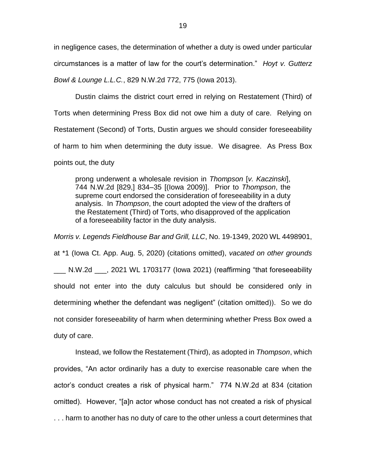in negligence cases, the determination of whether a duty is owed under particular circumstances is a matter of law for the court's determination." *Hoyt v. Gutterz Bowl & Lounge L.L.C.*, 829 N.W.2d 772, 775 (Iowa 2013).

Dustin claims the district court erred in relying on Restatement (Third) of Torts when determining Press Box did not owe him a duty of care. Relying on Restatement (Second) of Torts, Dustin argues we should consider foreseeability of harm to him when determining the duty issue. We disagree. As Press Box points out, the duty

prong underwent a wholesale revision in *Thompson* [*v. Kaczinski*], 744 N.W.2d [829,] 834–35 [(Iowa 2009)]. Prior to *Thompson*, the supreme court endorsed the consideration of foreseeability in a duty analysis. In *Thompson*, the court adopted the view of the drafters of the Restatement (Third) of Torts, who disapproved of the application of a foreseeability factor in the duty analysis.

*Morris v. Legends Fieldhouse Bar and Grill, LLC*, No. 19-1349, 2020 WL 4498901, at \*1 (Iowa Ct. App. Aug. 5, 2020) (citations omitted), *vacated on other grounds*  N.W.2d cata a 2021 WL 1703177 (lowa 2021) (reaffirming "that foreseeability should not enter into the duty calculus but should be considered only in determining whether the defendant was negligent" (citation omitted)). So we do not consider foreseeability of harm when determining whether Press Box owed a duty of care.

Instead, we follow the Restatement (Third), as adopted in *Thompson*, which provides, "An actor ordinarily has a duty to exercise reasonable care when the actor's conduct creates a risk of physical harm." 774 N.W.2d at 834 (citation omitted). However, "[a]n actor whose conduct has not created a risk of physical . . . harm to another has no duty of care to the other unless a court determines that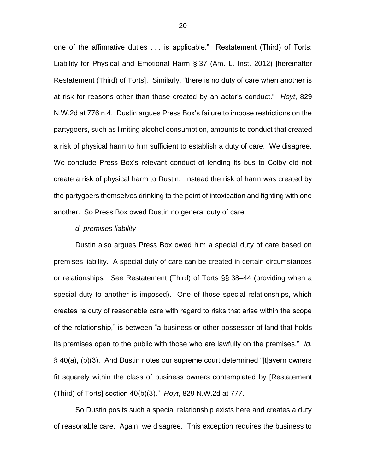one of the affirmative duties . . . is applicable." Restatement (Third) of Torts: Liability for Physical and Emotional Harm § 37 (Am. L. Inst. 2012) [hereinafter Restatement (Third) of Torts]. Similarly, "there is no duty of care when another is at risk for reasons other than those created by an actor's conduct." *Hoyt*, 829 N.W.2d at 776 n.4. Dustin argues Press Box's failure to impose restrictions on the partygoers, such as limiting alcohol consumption, amounts to conduct that created a risk of physical harm to him sufficient to establish a duty of care. We disagree. We conclude Press Box's relevant conduct of lending its bus to Colby did not create a risk of physical harm to Dustin. Instead the risk of harm was created by the partygoers themselves drinking to the point of intoxication and fighting with one another. So Press Box owed Dustin no general duty of care.

#### *d. premises liability*

Dustin also argues Press Box owed him a special duty of care based on premises liability. A special duty of care can be created in certain circumstances or relationships. *See* Restatement (Third) of Torts §§ 38–44 (providing when a special duty to another is imposed). One of those special relationships, which creates "a duty of reasonable care with regard to risks that arise within the scope of the relationship," is between "a business or other possessor of land that holds its premises open to the public with those who are lawfully on the premises." *Id.* § 40(a), (b)(3). And Dustin notes our supreme court determined "[t]avern owners fit squarely within the class of business owners contemplated by [Restatement (Third) of Torts] section 40(b)(3)." *Hoyt*, 829 N.W.2d at 777.

So Dustin posits such a special relationship exists here and creates a duty of reasonable care. Again, we disagree. This exception requires the business to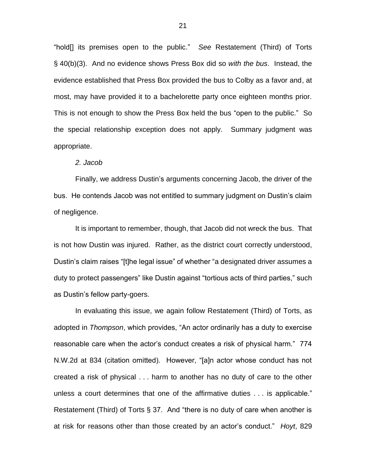"hold[] its premises open to the public." *See* Restatement (Third) of Torts § 40(b)(3). And no evidence shows Press Box did so *with the bus*. Instead, the evidence established that Press Box provided the bus to Colby as a favor and, at most, may have provided it to a bachelorette party once eighteen months prior. This is not enough to show the Press Box held the bus "open to the public." So the special relationship exception does not apply. Summary judgment was appropriate.

#### *2. Jacob*

Finally, we address Dustin's arguments concerning Jacob, the driver of the bus. He contends Jacob was not entitled to summary judgment on Dustin's claim of negligence.

It is important to remember, though, that Jacob did not wreck the bus. That is not how Dustin was injured. Rather, as the district court correctly understood, Dustin's claim raises "[t]he legal issue" of whether "a designated driver assumes a duty to protect passengers" like Dustin against "tortious acts of third parties," such as Dustin's fellow party-goers.

In evaluating this issue, we again follow Restatement (Third) of Torts, as adopted in *Thompson*, which provides, "An actor ordinarily has a duty to exercise reasonable care when the actor's conduct creates a risk of physical harm." 774 N.W.2d at 834 (citation omitted). However, "[a]n actor whose conduct has not created a risk of physical . . . harm to another has no duty of care to the other unless a court determines that one of the affirmative duties . . . is applicable." Restatement (Third) of Torts § 37. And "there is no duty of care when another is at risk for reasons other than those created by an actor's conduct." *Hoyt*, 829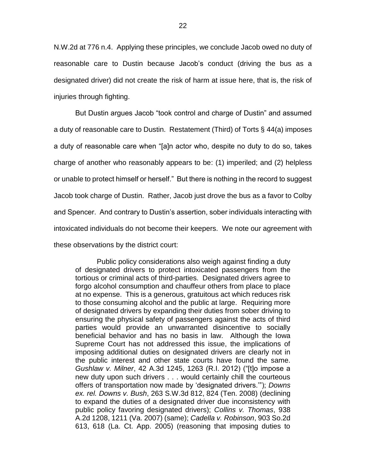N.W.2d at 776 n.4. Applying these principles, we conclude Jacob owed no duty of reasonable care to Dustin because Jacob's conduct (driving the bus as a designated driver) did not create the risk of harm at issue here, that is, the risk of injuries through fighting.

But Dustin argues Jacob "took control and charge of Dustin" and assumed a duty of reasonable care to Dustin. Restatement (Third) of Torts § 44(a) imposes a duty of reasonable care when "[a]n actor who, despite no duty to do so, takes charge of another who reasonably appears to be: (1) imperiled; and (2) helpless or unable to protect himself or herself." But there is nothing in the record to suggest Jacob took charge of Dustin. Rather, Jacob just drove the bus as a favor to Colby and Spencer. And contrary to Dustin's assertion, sober individuals interacting with intoxicated individuals do not become their keepers. We note our agreement with these observations by the district court:

Public policy considerations also weigh against finding a duty of designated drivers to protect intoxicated passengers from the tortious or criminal acts of third-parties. Designated drivers agree to forgo alcohol consumption and chauffeur others from place to place at no expense. This is a generous, gratuitous act which reduces risk to those consuming alcohol and the public at large. Requiring more of designated drivers by expanding their duties from sober driving to ensuring the physical safety of passengers against the acts of third parties would provide an unwarranted disincentive to socially beneficial behavior and has no basis in law. Although the Iowa Supreme Court has not addressed this issue, the implications of imposing additional duties on designated drivers are clearly not in the public interest and other state courts have found the same. *Gushlaw v. Milner*, 42 A.3d 1245, 1263 (R.I. 2012) ("[t]o impose a new duty upon such drivers . . . would certainly chill the courteous offers of transportation now made by 'designated drivers.'"); *Downs ex. rel. Downs v. Bush*, 263 S.W.3d 812, 824 (Ten. 2008) (declining to expand the duties of a designated driver due inconsistency with public policy favoring designated drivers); *Collins v. Thomas*, 938 A.2d 1208, 1211 (Va. 2007) (same); *Cadella v. Robinson*, 903 So.2d 613, 618 (La. Ct. App. 2005) (reasoning that imposing duties to